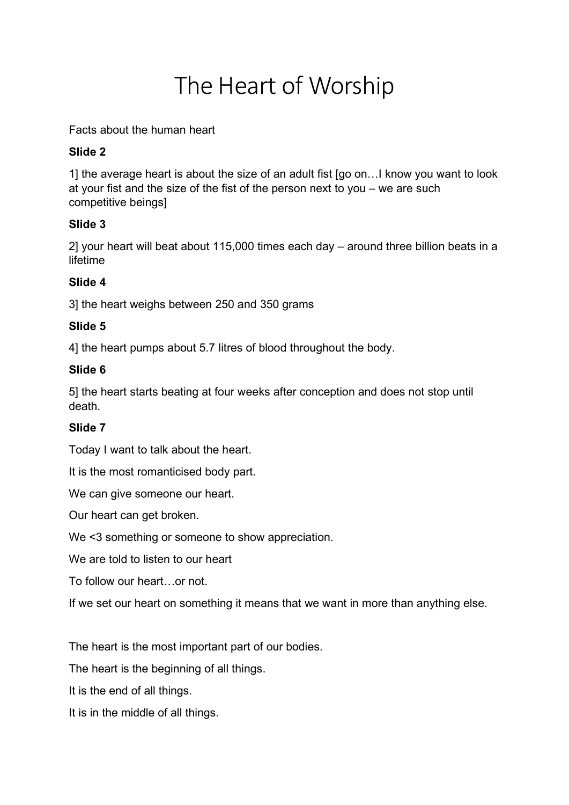# The Heart of Worship

Facts about the human heart

# **Slide 2**

1] the average heart is about the size of an adult fist [go on…I know you want to look at your fist and the size of the fist of the person next to you – we are such competitive beings]

# **Slide 3**

2] your heart will beat about 115,000 times each day – around three billion beats in a lifetime

# **Slide 4**

3] the heart weighs between 250 and 350 grams

# **Slide 5**

4] the heart pumps about 5.7 litres of blood throughout the body.

# **Slide 6**

5] the heart starts beating at four weeks after conception and does not stop until death.

# **Slide 7**

Today I want to talk about the heart.

It is the most romanticised body part.

We can give someone our heart.

Our heart can get broken.

We <3 something or someone to show appreciation.

We are told to listen to our heart

To follow our heart…or not.

If we set our heart on something it means that we want in more than anything else.

The heart is the most important part of our bodies.

The heart is the beginning of all things.

It is the end of all things.

It is in the middle of all things.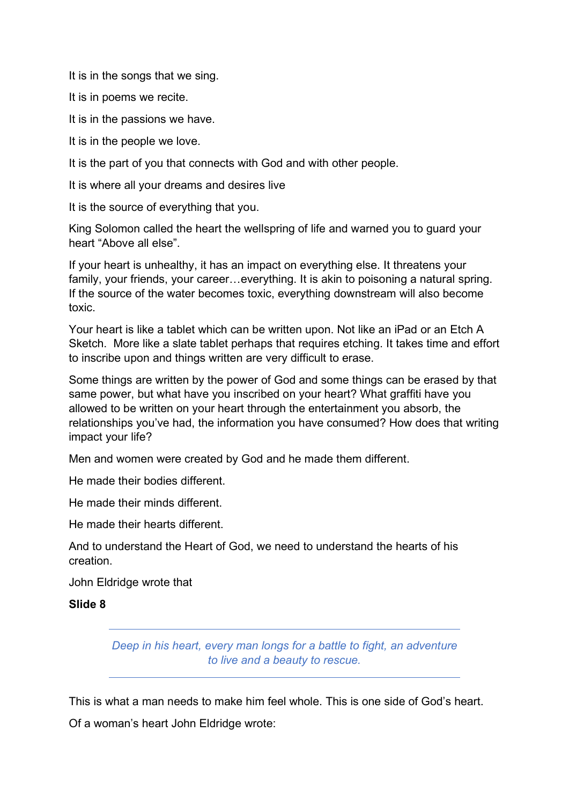It is in the songs that we sing.

It is in poems we recite.

It is in the passions we have.

It is in the people we love.

It is the part of you that connects with God and with other people.

It is where all your dreams and desires live

It is the source of everything that you.

King Solomon called the heart the wellspring of life and warned you to guard your heart "Above all else".

If your heart is unhealthy, it has an impact on everything else. It threatens your family, your friends, your career…everything. It is akin to poisoning a natural spring. If the source of the water becomes toxic, everything downstream will also become toxic.

Your heart is like a tablet which can be written upon. Not like an iPad or an Etch A Sketch. More like a slate tablet perhaps that requires etching. It takes time and effort to inscribe upon and things written are very difficult to erase.

Some things are written by the power of God and some things can be erased by that same power, but what have you inscribed on your heart? What graffiti have you allowed to be written on your heart through the entertainment you absorb, the relationships you've had, the information you have consumed? How does that writing impact your life?

Men and women were created by God and he made them different.

He made their bodies different.

He made their minds different.

He made their hearts different.

And to understand the Heart of God, we need to understand the hearts of his creation.

John Eldridge wrote that

**Slide 8**

*Deep in his heart, every man longs for a battle to fight, an adventure to live and a beauty to rescue.*

This is what a man needs to make him feel whole. This is one side of God's heart.

Of a woman's heart John Eldridge wrote: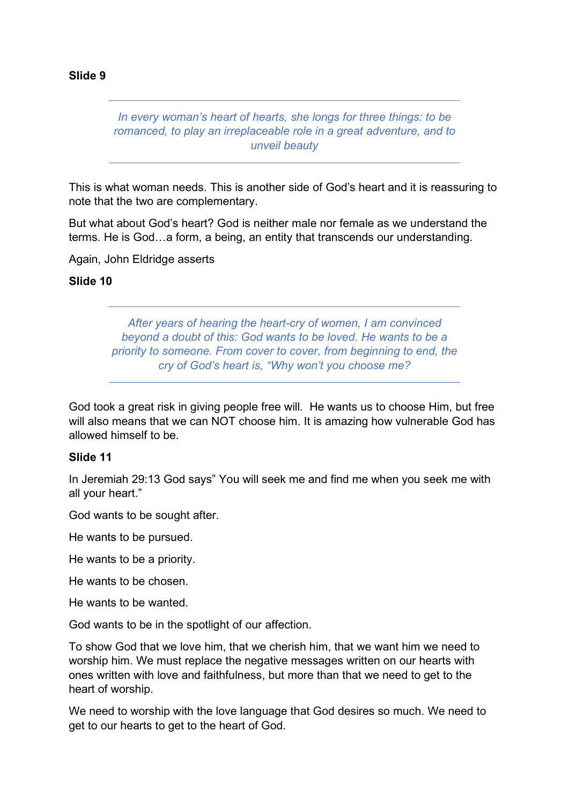#### **Slide 9**

*In every woman's heart of hearts, she longs for three things: to be romanced, to play an irreplaceable role in a great adventure, and to unveil beauty*

This is what woman needs. This is another side of God's heart and it is reassuring to note that the two are complementary.

But what about God's heart? God is neither male nor female as we understand the terms. He is God…a form, a being, an entity that transcends our understanding.

Again, John Eldridge asserts

#### **Slide 10**

*After years of hearing the heart-cry of women, I am convinced beyond a doubt of this: God wants to be loved. He wants to be a priority to someone. From cover to cover, from beginning to end, the cry of God's heart is, "Why won't you choose me?*

God took a great risk in giving people free will. He wants us to choose Him, but free will also means that we can NOT choose him. It is amazing how vulnerable God has allowed himself to be.

#### **Slide 11**

In Jeremiah 29:13 God says" You will seek me and find me when you seek me with all your heart."

God wants to be sought after.

He wants to be pursued.

He wants to be a priority.

He wants to be chosen.

He wants to be wanted.

God wants to be in the spotlight of our affection.

To show God that we love him, that we cherish him, that we want him we need to worship him. We must replace the negative messages written on our hearts with ones written with love and faithfulness, but more than that we need to get to the heart of worship.

We need to worship with the love language that God desires so much. We need to get to our hearts to get to the heart of God.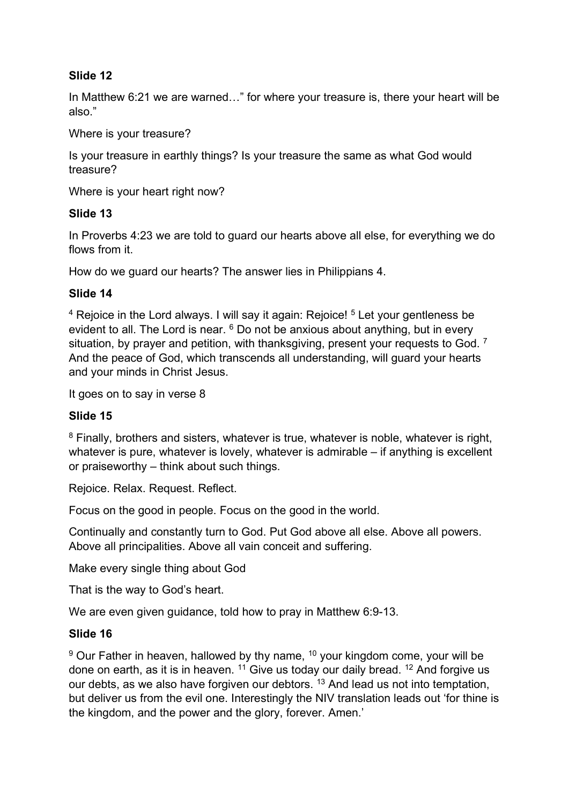# **Slide 12**

In Matthew 6:21 we are warned…" for where your treasure is, there your heart will be also."

Where is your treasure?

Is your treasure in earthly things? Is your treasure the same as what God would treasure?

Where is your heart right now?

## **Slide 13**

In Proverbs 4:23 we are told to guard our hearts above all else, for everything we do flows from it.

How do we guard our hearts? The answer lies in Philippians 4.

## **Slide 14**

<sup>4</sup> Rejoice in the Lord always. I will say it again: Rejoice! <sup>5</sup> Let your gentleness be evident to all. The Lord is near.  $6$  Do not be anxious about anything, but in every situation, by prayer and petition, with thanksgiving, present your requests to God.<sup>7</sup> And the peace of God, which transcends all understanding, will guard your hearts and your minds in Christ Jesus.

It goes on to say in verse 8

## **Slide 15**

<sup>8</sup> Finally, brothers and sisters, whatever is true, whatever is noble, whatever is right, whatever is pure, whatever is lovely, whatever is admirable – if anything is excellent or praiseworthy – think about such things.

Rejoice. Relax. Request. Reflect.

Focus on the good in people. Focus on the good in the world.

Continually and constantly turn to God. Put God above all else. Above all powers. Above all principalities. Above all vain conceit and suffering.

Make every single thing about God

That is the way to God's heart.

We are even given guidance, told how to pray in Matthew 6:9-13.

## **Slide 16**

 $9$  Our Father in heaven, hallowed by thy name,  $10$  your kingdom come, your will be done on earth, as it is in heaven.  $11$  Give us today our daily bread.  $12$  And forgive us our debts, as we also have forgiven our debtors. <sup>13</sup> And lead us not into temptation, but deliver us from the evil one. Interestingly the NIV translation leads out 'for thine is the kingdom, and the power and the glory, forever. Amen.'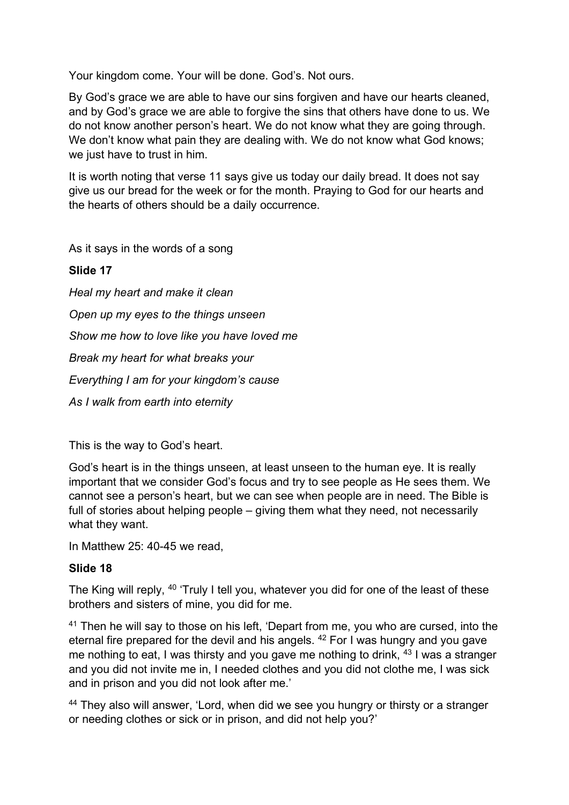Your kingdom come. Your will be done. God's. Not ours.

By God's grace we are able to have our sins forgiven and have our hearts cleaned, and by God's grace we are able to forgive the sins that others have done to us. We do not know another person's heart. We do not know what they are going through. We don't know what pain they are dealing with. We do not know what God knows; we just have to trust in him.

It is worth noting that verse 11 says give us today our daily bread. It does not say give us our bread for the week or for the month. Praying to God for our hearts and the hearts of others should be a daily occurrence.

As it says in the words of a song

**Slide 17** *Heal my heart and make it clean Open up my eyes to the things unseen Show me how to love like you have loved me Break my heart for what breaks your Everything I am for your kingdom's cause As I walk from earth into eternity* 

This is the way to God's heart.

God's heart is in the things unseen, at least unseen to the human eye. It is really important that we consider God's focus and try to see people as He sees them. We cannot see a person's heart, but we can see when people are in need. The Bible is full of stories about helping people – giving them what they need, not necessarily what they want.

In Matthew 25: 40-45 we read,

## **Slide 18**

The King will reply, <sup>40</sup> 'Truly I tell you, whatever you did for one of the least of these brothers and sisters of mine, you did for me.

<sup>41</sup> Then he will say to those on his left, 'Depart from me, you who are cursed, into the eternal fire prepared for the devil and his angels. 42 For I was hungry and you gave me nothing to eat, I was thirsty and you gave me nothing to drink, <sup>43</sup> I was a stranger and you did not invite me in, I needed clothes and you did not clothe me, I was sick and in prison and you did not look after me.'

<sup>44</sup> They also will answer, 'Lord, when did we see you hungry or thirsty or a stranger or needing clothes or sick or in prison, and did not help you?'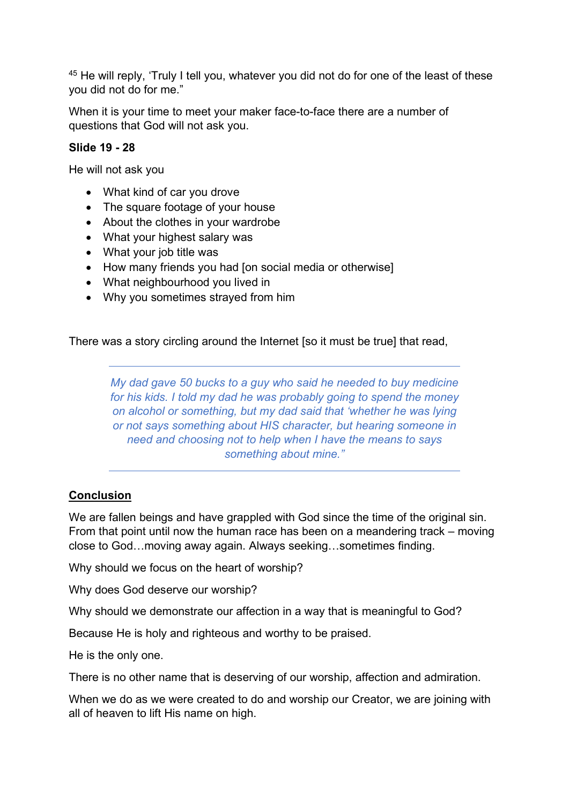$45$  He will reply, 'Truly I tell you, whatever you did not do for one of the least of these you did not do for me."

When it is your time to meet your maker face-to-face there are a number of questions that God will not ask you.

## **Slide 19 - 28**

He will not ask you

- What kind of car you drove
- The square footage of your house
- About the clothes in your wardrobe
- What your highest salary was
- What your job title was
- How many friends you had [on social media or otherwise]
- What neighbourhood you lived in
- Why you sometimes strayed from him

There was a story circling around the Internet [so it must be true] that read,

*My dad gave 50 bucks to a guy who said he needed to buy medicine for his kids. I told my dad he was probably going to spend the money on alcohol or something, but my dad said that 'whether he was lying or not says something about HIS character, but hearing someone in need and choosing not to help when I have the means to says something about mine."*

#### **Conclusion**

We are fallen beings and have grappled with God since the time of the original sin. From that point until now the human race has been on a meandering track – moving close to God…moving away again. Always seeking…sometimes finding.

Why should we focus on the heart of worship?

Why does God deserve our worship?

Why should we demonstrate our affection in a way that is meaningful to God?

Because He is holy and righteous and worthy to be praised.

He is the only one.

There is no other name that is deserving of our worship, affection and admiration.

When we do as we were created to do and worship our Creator, we are joining with all of heaven to lift His name on high.